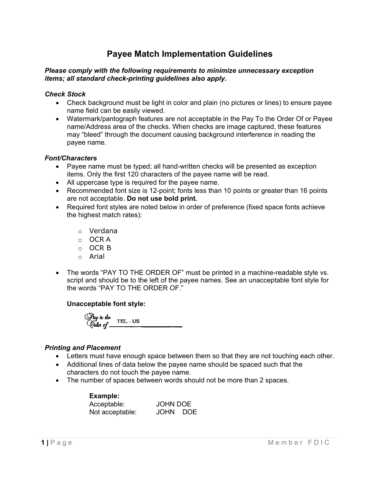# **Payee Match Implementation Guidelines**

#### *Please comply with the following requirements to minimize unnecessary exception items; all standard check-printing guidelines also apply.*

#### *Check Stock*

- Check background must be light in color and plain (no pictures or lines) to ensure payee name field can be easily viewed.
- Watermark/pantograph features are not acceptable in the Pay To the Order Of or Payee name/Address area of the checks. When checks are image captured, these features may "bleed" through the document causing background interference in reading the payee name.

### *Font/Characters*

- Payee name must be typed; all hand-written checks will be presented as exception items. Only the first 120 characters of the payee name will be read.
- All uppercase type is required for the payee name.
- Recommended font size is 12-point; fonts less than 10 points or greater than 16 points are not acceptable. **Do not use bold print.**
- Required font styles are noted below in order of preference (fixed space fonts achieve the highest match rates):
	- o Verdana
	- o OCR A
	- o OCR B
	- o Arial
- The words "PAY TO THE ORDER OF" must be printed in a machine-readable style vs. script and should be to the left of the payee names. See an unacceptable font style for the words "PAY TO THE ORDER OF."

## **Unacceptable font style:**

Pay to the TEL-US<br>Conter of \_\_\_\_\_\_\_\_\_\_\_

## *Printing and Placement*

- Letters must have enough space between them so that they are not touching each other.
- Additional lines of data below the payee name should be spaced such that the characters do not touch the payee name.
- The number of spaces between words should not be more than 2 spaces.

| Example:        |                 |            |
|-----------------|-----------------|------------|
| Acceptable:     | <b>JOHN DOE</b> |            |
| Not acceptable: | <b>JOHN</b>     | <b>DOE</b> |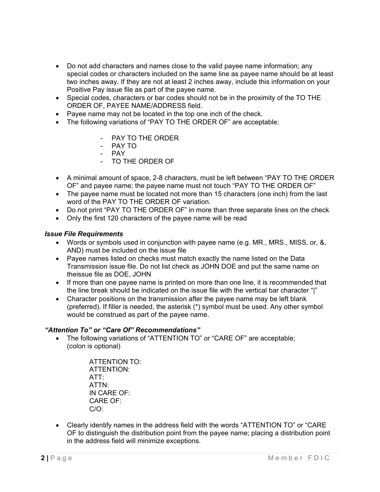- Do not add characters and names close to the valid payee name information; any special codes or characters included on the same line as payee name should be at least two inches away. If they are not at least 2 inches away, include this information on your Positive Pay issue file as part of the payee name.
- Special codes, characters or bar codes should not be in the proximity of the TO THE ORDER OF, PAYEE NAME/ADDRESS field.
- Payee name may not be located in the top one inch of the check.
- The following variations of "PAY TO THE ORDER OF" are acceptable:
	- PAY TO THE ORDER
	- PAY TO
	- PAY
	- TO THE ORDER OF
- A minimal amount of space, 2-8 characters, must be left between "PAY TO THE ORDER OF" and payee name; the payee name must not touch "PAY TO THE ORDER OF"
- The payee name must be located not more than 15 characters (one inch) from the last word of the PAY TO THE ORDER OF variation.
- Do not print "PAY TO THE ORDER OF" in more than three separate lines on the check
- Only the first 120 characters of the payee name will be read

#### *Issue File Requirements*

- Words or symbols used in conjunction with payee name (e.g. MR., MRS., MISS, or, &, AND) must be included on the issue file
- Payee names listed on checks must match exactly the name listed on the Data Transmission issue file. Do not list check as JOHN DOE and put the same name on theissue file as DOE, JOHN
- If more than one payee name is printed on more than one line, it is recommended that the line break should be indicated on the issue file with the vertical bar character "|"
- Character positions on the transmission after the payee name may be left blank (preferred). If filler is needed, the asterisk (\*) symbol must be used. Any other symbol would be construed as part of the payee name.

## *"Attention To" or "Care Of" Recommendations"*

• The following variations of "ATTENTION TO" or "CARE OF" are acceptable; (colon is optional)

> ATTENTION TO: ATTENTION: ATT: ATTN: IN CARE OF: CARE OF: C/O:

• Clearly identify names in the address field with the words "ATTENTION TO" or "CARE OF to distinguish the distribution point from the payee name; placing a distribution point in the address field will minimize exceptions.